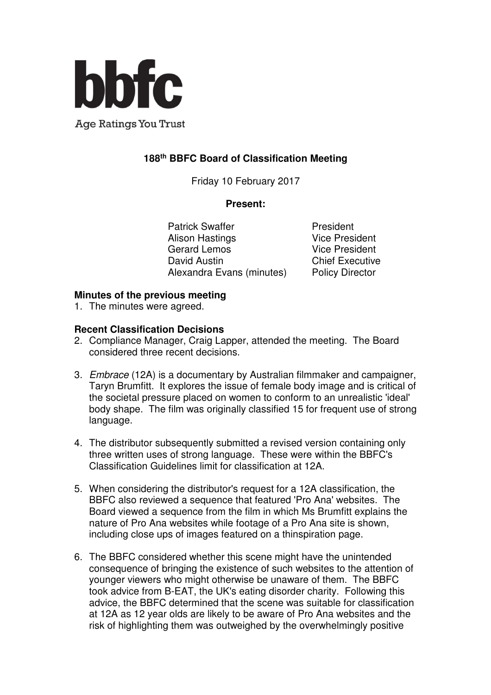

**Age Ratings You Trust** 

# **188th BBFC Board of Classification Meeting**

Friday 10 February 2017

#### **Present:**

Patrick Swaffer **President** Alison Hastings **Vice President** Gerard Lemos Vice President David Austin **Chief Executive** Alexandra Evans (minutes) Policy Director

## **Minutes of the previous meeting**

1. The minutes were agreed.

## **Recent Classification Decisions**

- 2. Compliance Manager, Craig Lapper, attended the meeting. The Board considered three recent decisions.
- 3. Embrace (12A) is a documentary by Australian filmmaker and campaigner, Taryn Brumfitt. It explores the issue of female body image and is critical of the societal pressure placed on women to conform to an unrealistic 'ideal' body shape. The film was originally classified 15 for frequent use of strong language.
- 4. The distributor subsequently submitted a revised version containing only three written uses of strong language. These were within the BBFC's Classification Guidelines limit for classification at 12A.
- 5. When considering the distributor's request for a 12A classification, the BBFC also reviewed a sequence that featured 'Pro Ana' websites. The Board viewed a sequence from the film in which Ms Brumfitt explains the nature of Pro Ana websites while footage of a Pro Ana site is shown, including close ups of images featured on a thinspiration page.
- 6. The BBFC considered whether this scene might have the unintended consequence of bringing the existence of such websites to the attention of younger viewers who might otherwise be unaware of them. The BBFC took advice from B-EAT, the UK's eating disorder charity. Following this advice, the BBFC determined that the scene was suitable for classification at 12A as 12 year olds are likely to be aware of Pro Ana websites and the risk of highlighting them was outweighed by the overwhelmingly positive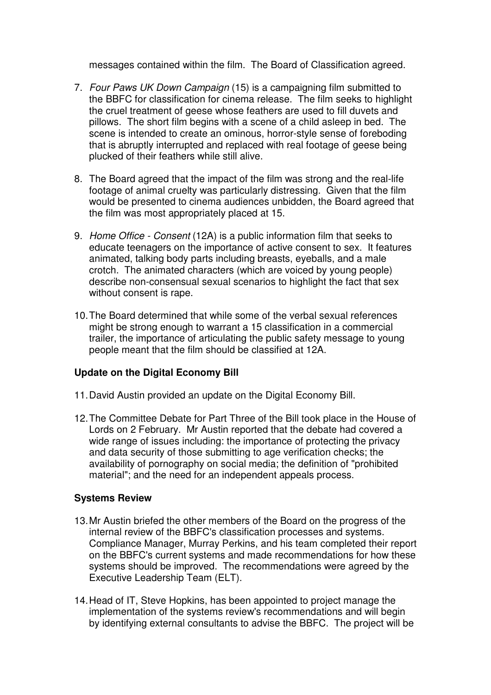messages contained within the film. The Board of Classification agreed.

- 7. Four Paws UK Down Campaign (15) is a campaigning film submitted to the BBFC for classification for cinema release. The film seeks to highlight the cruel treatment of geese whose feathers are used to fill duvets and pillows. The short film begins with a scene of a child asleep in bed. The scene is intended to create an ominous, horror-style sense of foreboding that is abruptly interrupted and replaced with real footage of geese being plucked of their feathers while still alive.
- 8. The Board agreed that the impact of the film was strong and the real-life footage of animal cruelty was particularly distressing. Given that the film would be presented to cinema audiences unbidden, the Board agreed that the film was most appropriately placed at 15.
- 9. Home Office Consent (12A) is a public information film that seeks to educate teenagers on the importance of active consent to sex. It features animated, talking body parts including breasts, eyeballs, and a male crotch. The animated characters (which are voiced by young people) describe non-consensual sexual scenarios to highlight the fact that sex without consent is rape.
- 10. The Board determined that while some of the verbal sexual references might be strong enough to warrant a 15 classification in a commercial trailer, the importance of articulating the public safety message to young people meant that the film should be classified at 12A.

## **Update on the Digital Economy Bill**

- 11. David Austin provided an update on the Digital Economy Bill.
- 12. The Committee Debate for Part Three of the Bill took place in the House of Lords on 2 February. Mr Austin reported that the debate had covered a wide range of issues including: the importance of protecting the privacy and data security of those submitting to age verification checks; the availability of pornography on social media; the definition of "prohibited material"; and the need for an independent appeals process.

#### **Systems Review**

- 13. Mr Austin briefed the other members of the Board on the progress of the internal review of the BBFC's classification processes and systems. Compliance Manager, Murray Perkins, and his team completed their report on the BBFC's current systems and made recommendations for how these systems should be improved. The recommendations were agreed by the Executive Leadership Team (ELT).
- 14. Head of IT, Steve Hopkins, has been appointed to project manage the implementation of the systems review's recommendations and will begin by identifying external consultants to advise the BBFC. The project will be